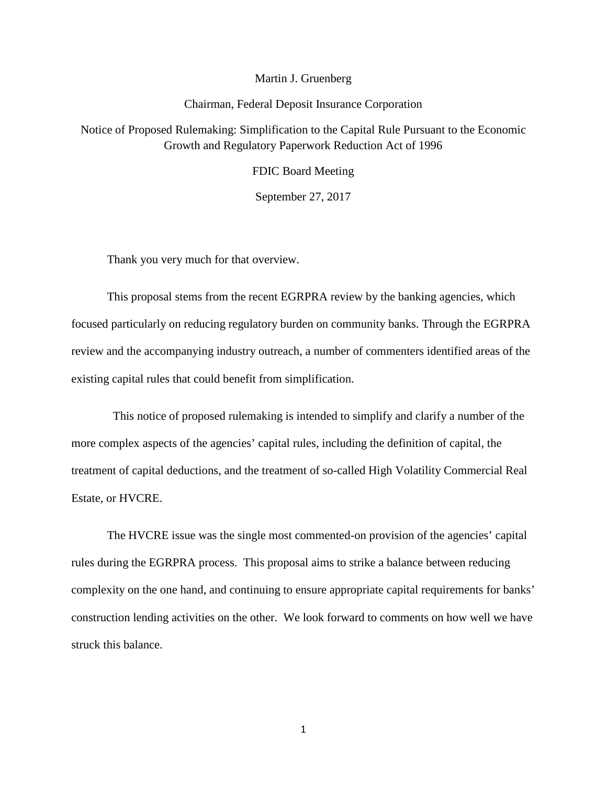## Martin J. Gruenberg

## Chairman, Federal Deposit Insurance Corporation

Notice of Proposed Rulemaking: Simplification to the Capital Rule Pursuant to the Economic Growth and Regulatory Paperwork Reduction Act of 1996

## FDIC Board Meeting

September 27, 2017

Thank you very much for that overview.

This proposal stems from the recent EGRPRA review by the banking agencies, which focused particularly on reducing regulatory burden on community banks. Through the EGRPRA review and the accompanying industry outreach, a number of commenters identified areas of the existing capital rules that could benefit from simplification.

 This notice of proposed rulemaking is intended to simplify and clarify a number of the more complex aspects of the agencies' capital rules, including the definition of capital, the treatment of capital deductions, and the treatment of so-called High Volatility Commercial Real Estate, or HVCRE.

The HVCRE issue was the single most commented-on provision of the agencies' capital rules during the EGRPRA process. This proposal aims to strike a balance between reducing complexity on the one hand, and continuing to ensure appropriate capital requirements for banks' construction lending activities on the other. We look forward to comments on how well we have struck this balance.

1